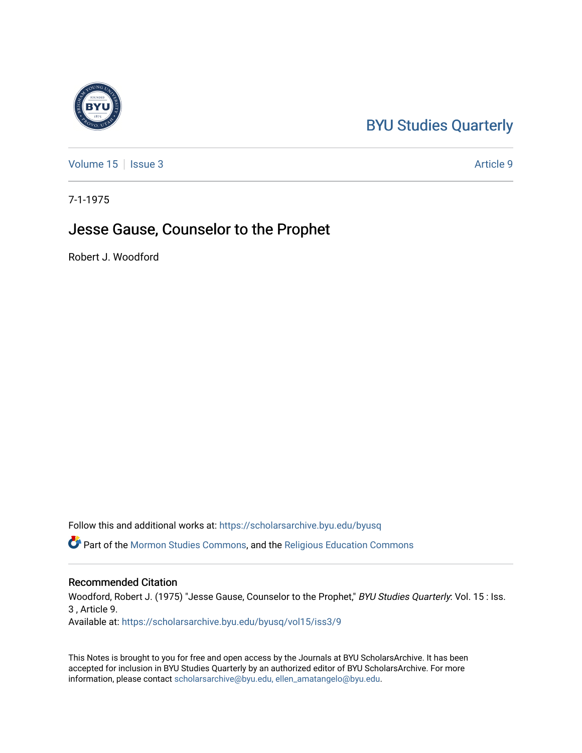## [BYU Studies Quarterly](https://scholarsarchive.byu.edu/byusq)

[Volume 15](https://scholarsarchive.byu.edu/byusq/vol15) | [Issue 3](https://scholarsarchive.byu.edu/byusq/vol15/iss3) Article 9

7-1-1975

### Jesse Gause, Counselor to the Prophet

Robert J. Woodford

Follow this and additional works at: [https://scholarsarchive.byu.edu/byusq](https://scholarsarchive.byu.edu/byusq?utm_source=scholarsarchive.byu.edu%2Fbyusq%2Fvol15%2Fiss3%2F9&utm_medium=PDF&utm_campaign=PDFCoverPages) 

Part of the [Mormon Studies Commons](http://network.bepress.com/hgg/discipline/1360?utm_source=scholarsarchive.byu.edu%2Fbyusq%2Fvol15%2Fiss3%2F9&utm_medium=PDF&utm_campaign=PDFCoverPages), and the [Religious Education Commons](http://network.bepress.com/hgg/discipline/1414?utm_source=scholarsarchive.byu.edu%2Fbyusq%2Fvol15%2Fiss3%2F9&utm_medium=PDF&utm_campaign=PDFCoverPages) 

#### Recommended Citation

Woodford, Robert J. (1975) "Jesse Gause, Counselor to the Prophet," BYU Studies Quarterly: Vol. 15 : Iss. 3 , Article 9.

Available at: [https://scholarsarchive.byu.edu/byusq/vol15/iss3/9](https://scholarsarchive.byu.edu/byusq/vol15/iss3/9?utm_source=scholarsarchive.byu.edu%2Fbyusq%2Fvol15%2Fiss3%2F9&utm_medium=PDF&utm_campaign=PDFCoverPages)

This Notes is brought to you for free and open access by the Journals at BYU ScholarsArchive. It has been accepted for inclusion in BYU Studies Quarterly by an authorized editor of BYU ScholarsArchive. For more information, please contact [scholarsarchive@byu.edu, ellen\\_amatangelo@byu.edu.](mailto:scholarsarchive@byu.edu,%20ellen_amatangelo@byu.edu)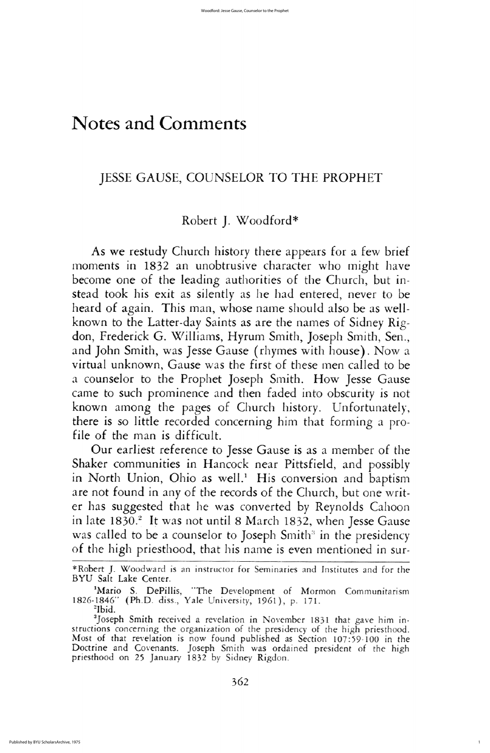As we restudy church history there appears for a few brief moments in 1832 an unobtrusive character who might have become one of the leading authorities of the Church, but instead took his exit as silently as he had entered, never to be heard of again. This man, whose name should also be as wellknown to the Latter-day Saints as are the names of Sidney Rigdon, Frederick G. Williams, Hyrum Smith, Joseph Smith, Sen., and John Smith, was Jesse Gause (rhymes with house). Now a virtual unknown, Gause was the first of these men called to be a counselor to the Prophet Joseph Smith. How Jesse Gause came to such prominence and then faded into obscurity is not known among the pages of Church history. Unfortunately, there is so little recorded concerning him that forming a profile of the man is difficult. Our earliest reference to Jesse Gause is as a member of the Shaker communities in Hancock near Pittsfield, and possibly in North Union, Ohio as well.<sup>1</sup> His conversion and baptism are not found in any of the records of the Church, but one writer has suggested that he was converted by Reynolds Cahoon in late 1830.<sup>2</sup> It was not until 8 March 1832, when Jesse Gause was called to be a counselor to Joseph Smith<sup>3</sup> in the presidency of the high priesthood, that his name is even mentioned in sur-

\*Robert J. Woodward is an instructor for Seminaries and Institutes and for the BYU Salt Lake Center.

<sup>1</sup>Mario S. DePillis, "The Development of Mormon Communitarism 1826-1846" (Ph.D. diss., Yale University, 1961), p. 171. <sup>2</sup>Ibid.

<sup>3</sup>Joseph Smith received a revelation in November 1831 that gave him instructions concerning the organization of the presidency of the high priesthood Most of that revelation is now found published as Section 107:59-100 in the Doctrine and Covenants. Joseph Smith was ordained president of the high priesthood on 25 January 1832 by Sidney Rigdon.

362

# Notes and Comments

## JESSE GAUSE, COUNSELOR TO THE PROPHET

# Robert J. Woodford\*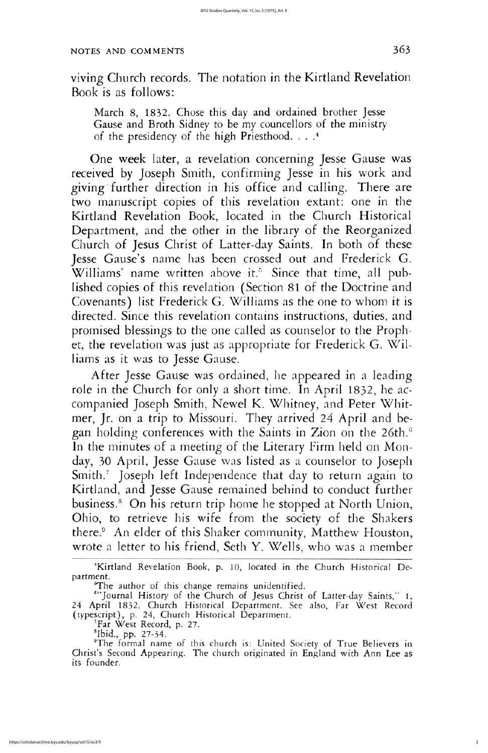viving Church records. The notation in the Kirtland Revelation book is as follows

March 8, 1832. Chose this day and ordained brother Jesse Gause and Broth Sidney to be my councellors of the ministry of the presidency of the high Priesthood.  $\ldots$ <sup>4</sup>

One week later, a revelation concerning Jesse Gause was received by Joseph Smith, confirming Jesse in his work and giving further direction in his office and calling. There are two manuscript copies of this revelation extant: one in the Kirtland Revelation Book, located in the Church Historical Department, and the other in the library of the Reorganized Church of Jesus Christ of Latter-day Saints. In both of these Jesse Gause's name has been crossed out and Frederick G. Williams' name written above it.<sup>5</sup> Since that time, all published copies of this revelation (Section 81 of the Doctrine and Covenants) list Frederick G. Williams as the one to whom it is directed. Since this revelation contains instructions, duties, and promised blessings to the one called as counselor to the Prophet, the revelation was just as appropriate for Frederick G. Williams as it was to Jesse Gause.

After Jesse Gause was ordained, he appeared in a leading role in the Church for only a short time. In April 1832, he accompanied Joseph Smith, Newel K. Whitney, and Peter Whitmer, Jr. on a trip to Missouri. They arrived 24 April and began holding conferences with the Saints in Zion on the 26th.<sup>6</sup> In the minutes of a meeting of the Literary Firm held on Monday, 30 April, Jesse Gause was listed as a counselor to Joseph Smith.<sup>7</sup> Joseph left Independence that day to return again to Kirtland, and Jesse Gause remained behind to conduct further business.<sup>8</sup> On his return trip home he stopped at North Union, Ohio, to retrieve his wife from the society of the Shakers there.<sup>9</sup> An elder of this Shaker community, Matthew Houston, wrote a letter to his friend, Seth Y. Wells, who was a member

'Kirtland Revelation Book, p. 10, located in the Church Historical Department.

The author of this change remains unidentified.

<sup>6"</sup>Journal History of the Church of Jesus Christ of Latter-day Saints," 1 24 April 1832, Church Historical Department. See also, Far West Record (typescript), p. 24, Church Historical Department.

<sup>7</sup>Far West Record, p. 27.

 $^{8}$ Ibid., pp. 27-34.

<sup>9</sup>The formal name of this church is: United Society of True Believers in Christ's Second Appearing. The church originated in England with Ann Lee as its founder